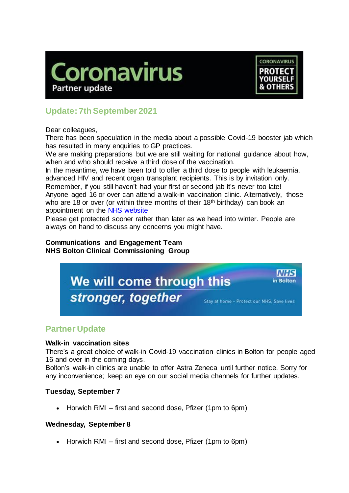



# **Update: 7th September 2021**

Dear colleagues,

There has been speculation in the media about a possible Covid-19 booster jab which has resulted in many enquiries to GP practices.

We are making preparations but we are still waiting for national guidance about how, when and who should receive a third dose of the vaccination.

In the meantime, we have been told to offer a third dose to people with leukaemia, advanced HIV and recent organ transplant recipients. This is by invitation only.

Remember, if you still haven't had your first or second jab it's never too late! Anyone aged 16 or over can attend a walk-in vaccination clinic. Alternatively, those who are 18 or over (or within three months of their 18<sup>th</sup> birthday) can book an appointment on the [NHS website](https://www.nhs.uk/conditions/coronavirus-covid-19/coronavirus-vaccination/book-coronavirus-vaccination/)

Please get protected sooner rather than later as we head into winter. People are always on hand to discuss any concerns you might have.

#### **Communications and Engagement Team NHS Bolton Clinical Commissioning Group**



## **Partner Update**

### **Walk-in vaccination sites**

There's a great choice of walk-in Covid-19 vaccination clinics in Bolton for people aged 16 and over in the coming days.

Bolton's walk-in clinics are unable to offer Astra Zeneca until further notice. Sorry for any inconvenience; keep an eye on our social media channels for further updates.

### **Tuesday, September 7**

 $\bullet$  Horwich RMI – first and second dose, Pfizer (1pm to 6pm)

#### **Wednesday, September 8**

 $\bullet$  Horwich RMI – first and second dose, Pfizer (1pm to 6pm)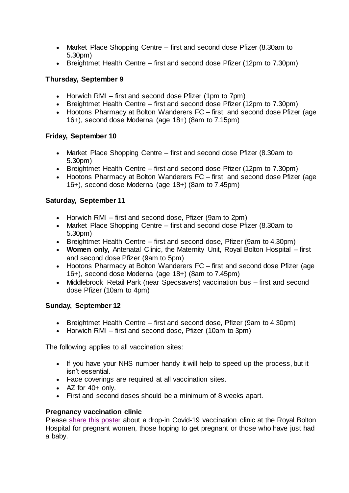- Market Place Shopping Centre first and second dose Pfizer (8.30am to 5.30pm)
- Breightmet Health Centre first and second dose Pfizer (12pm to 7.30pm)

### **Thursday, September 9**

- Horwich RMI first and second dose Pfizer (1pm to 7pm)
- Breightmet Health Centre first and second dose Pfizer (12pm to 7.30pm)
- Hootons Pharmacy at Bolton Wanderers FC first and second dose Pfizer (age 16+), second dose Moderna (age 18+) (8am to 7.15pm)

### **Friday, September 10**

- Market Place Shopping Centre first and second dose Pfizer (8.30am to 5.30pm)
- Breightmet Health Centre first and second dose Pfizer (12pm to 7.30pm)
- Hootons Pharmacy at Bolton Wanderers FC first and second dose Pfizer (age 16+), second dose Moderna (age 18+) (8am to 7.45pm)

### **Saturday, September 11**

- Horwich RMI first and second dose, Pfizer (9am to 2pm)
- Market Place Shopping Centre first and second dose Pfizer (8.30am to 5.30pm)
- Breightmet Health Centre first and second dose, Pfizer (9am to 4.30pm)
- **Women only,** Antenatal Clinic, the Maternity Unit, Royal Bolton Hospital first and second dose Pfizer (9am to 5pm)
- Hootons Pharmacy at Bolton Wanderers FC first and second dose Pfizer (age 16+), second dose Moderna (age 18+) (8am to 7.45pm)
- Middlebrook Retail Park (near Specsavers) vaccination bus first and second dose Pfizer (10am to 4pm)

### **Sunday, September 12**

- Breightmet Health Centre first and second dose, Pfizer (9am to 4.30pm)
- Horwich RMI first and second dose, Pfizer (10am to 3pm)

The following applies to all vaccination sites:

- If you have your NHS number handy it will help to speed up the process, but it isn't essential.
- Face coverings are required at all vaccination sites.
- $\bullet$  AZ for 40+ only.
- First and second doses should be a minimum of 8 weeks apart.

### **Pregnancy vaccination clinic**

Please [share this poster](https://www.boltonccg.nhs.uk/media/7313/pregnancy-clinic_16yrs-messagefin.pdf) about a drop-in Covid-19 vaccination clinic at the Royal Bolton Hospital for pregnant women, those hoping to get pregnant or those who have just had a baby.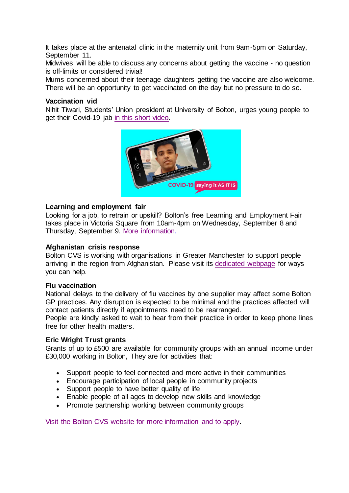It takes place at the antenatal clinic in the maternity unit from 9am-5pm on Saturday, September 11.

Midwives will be able to discuss any concerns about getting the vaccine - no question is off-limits or considered trivial!

Mums concerned about their teenage daughters getting the vaccine are also welcome. There will be an opportunity to get vaccinated on the day but no pressure to do so.

#### **Vaccination vid**

Nihit Tiwari, Students' Union president at University of Bolton, urges young people to aet their Covid-19 jab [in this short video.](https://www.youtube.com/watch?v=IUrYMPFxhhY)



#### **Learning and employment fair**

Looking for a job, to retrain or upskill? Bolton's free Learning and Employment Fair takes place in Victoria Square from 10am-4pm on Wednesday, September 8 and Thursday, September 9. [More information.](https://bit.ly/3zk47wd)

#### **Afghanistan crisis response**

Bolton CVS is working with organisations in Greater Manchester to support people arriving in the region from Afghanistan. Please visit its [dedicated webpage](https://www.boltoncvs.org.uk/civicrm/mailing/url?u=77663&qid=6416394) for ways you can help.

#### **Flu vaccination**

National delays to the delivery of flu vaccines by one supplier may affect some Bolton GP practices. Any disruption is expected to be minimal and the practices affected will contact patients directly if appointments need to be rearranged.

People are kindly asked to wait to hear from their practice in order to keep phone lines free for other health matters.

#### **Eric Wright Trust grants**

Grants of up to £500 are available for community groups with an annual income under £30,000 working in Bolton, They are for activities that:

- Support people to feel connected and more active in their communities
- Encourage participation of local people in community projects
- Support people to have better quality of life
- Enable people of all ages to develop new skills and knowledge
- Promote partnership working between community groups

[Visit the Bolton CVS website for more information and to apply.](https://www.boltoncvs.org.uk/civicrm/mailing/url?u=77597&qid=6411251)